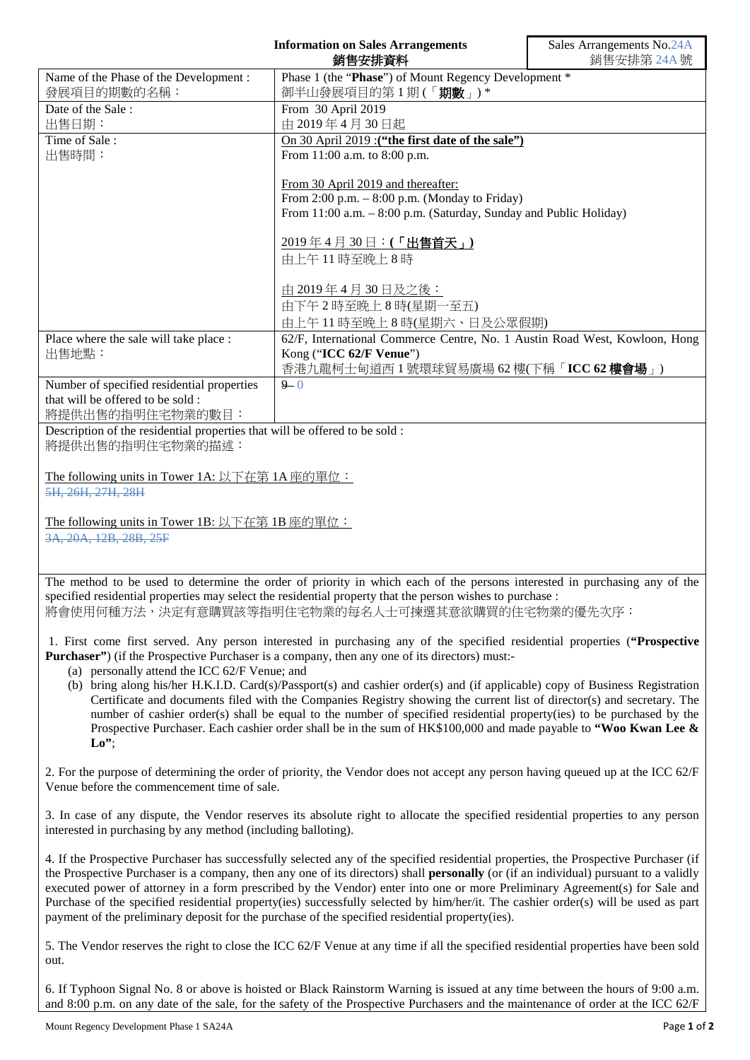|                                                                                                 | <b>Information on Sales Arrangements</b><br>銷售安排資料                                                                                                                                                                                                                                                                                                                                                                                                                                                                                                                                                                                                          | Sales Arrangements No.24A<br>銷售安排第 24A號 |
|-------------------------------------------------------------------------------------------------|-------------------------------------------------------------------------------------------------------------------------------------------------------------------------------------------------------------------------------------------------------------------------------------------------------------------------------------------------------------------------------------------------------------------------------------------------------------------------------------------------------------------------------------------------------------------------------------------------------------------------------------------------------------|-----------------------------------------|
| Name of the Phase of the Development :                                                          | Phase 1 (the "Phase") of Mount Regency Development *                                                                                                                                                                                                                                                                                                                                                                                                                                                                                                                                                                                                        |                                         |
| 發展項目的期數的名稱:<br>Date of the Sale:                                                                | 御半山發展項目的第1期(「期數」)*<br>From 30 April 2019                                                                                                                                                                                                                                                                                                                                                                                                                                                                                                                                                                                                                    |                                         |
| 出售日期:                                                                                           | 由 2019年4月30日起                                                                                                                                                                                                                                                                                                                                                                                                                                                                                                                                                                                                                                               |                                         |
| Time of Sale:                                                                                   | On 30 April 2019 : ("the first date of the sale")                                                                                                                                                                                                                                                                                                                                                                                                                                                                                                                                                                                                           |                                         |
| 出售時間:                                                                                           | From 11:00 a.m. to 8:00 p.m.                                                                                                                                                                                                                                                                                                                                                                                                                                                                                                                                                                                                                                |                                         |
|                                                                                                 | From 30 April 2019 and thereafter:                                                                                                                                                                                                                                                                                                                                                                                                                                                                                                                                                                                                                          |                                         |
|                                                                                                 | From $2:00$ p.m. $-8:00$ p.m. (Monday to Friday)                                                                                                                                                                                                                                                                                                                                                                                                                                                                                                                                                                                                            |                                         |
|                                                                                                 | From 11:00 a.m. - 8:00 p.m. (Saturday, Sunday and Public Holiday)                                                                                                                                                                                                                                                                                                                                                                                                                                                                                                                                                                                           |                                         |
|                                                                                                 | 2019年4月30日:(「出售首天」)                                                                                                                                                                                                                                                                                                                                                                                                                                                                                                                                                                                                                                         |                                         |
|                                                                                                 | 由上午11時至晚上8時                                                                                                                                                                                                                                                                                                                                                                                                                                                                                                                                                                                                                                                 |                                         |
|                                                                                                 | <u>由 2019年4月30日及之後:</u>                                                                                                                                                                                                                                                                                                                                                                                                                                                                                                                                                                                                                                     |                                         |
|                                                                                                 | 由下午2時至晚上8時(星期一至五)                                                                                                                                                                                                                                                                                                                                                                                                                                                                                                                                                                                                                                           |                                         |
| Place where the sale will take place :                                                          | 由上午11時至晚上8時(星期六、日及公眾假期)<br>62/F, International Commerce Centre, No. 1 Austin Road West, Kowloon, Hong                                                                                                                                                                                                                                                                                                                                                                                                                                                                                                                                                       |                                         |
| 出售地點:                                                                                           | Kong ("ICC 62/F Venue")                                                                                                                                                                                                                                                                                                                                                                                                                                                                                                                                                                                                                                     |                                         |
|                                                                                                 | 香港九龍柯士甸道西 1 號環球貿易廣場 62 樓(下稱「ICC 62 樓會場」)                                                                                                                                                                                                                                                                                                                                                                                                                                                                                                                                                                                                                    |                                         |
| Number of specified residential properties                                                      | $9 - 0$                                                                                                                                                                                                                                                                                                                                                                                                                                                                                                                                                                                                                                                     |                                         |
| that will be offered to be sold:<br>將提供出售的指明住宅物業的數目:                                            |                                                                                                                                                                                                                                                                                                                                                                                                                                                                                                                                                                                                                                                             |                                         |
| Description of the residential properties that will be offered to be sold :<br>將提供出售的指明住宅物業的描述: |                                                                                                                                                                                                                                                                                                                                                                                                                                                                                                                                                                                                                                                             |                                         |
| The following units in Tower 1A: 以下在第 1A 座的單位:<br>5H, 26H, 27H, 28H                             |                                                                                                                                                                                                                                                                                                                                                                                                                                                                                                                                                                                                                                                             |                                         |
| The following units in Tower 1B: 以下在第 1B 座的單位:                                                  |                                                                                                                                                                                                                                                                                                                                                                                                                                                                                                                                                                                                                                                             |                                         |
| 3A, 20A, 12B, 28B, 25F                                                                          |                                                                                                                                                                                                                                                                                                                                                                                                                                                                                                                                                                                                                                                             |                                         |
|                                                                                                 |                                                                                                                                                                                                                                                                                                                                                                                                                                                                                                                                                                                                                                                             |                                         |
|                                                                                                 | The method to be used to determine the order of priority in which each of the persons interested in purchasing any of the<br>specified residential properties may select the residential property that the person wishes to purchase :<br>將會使用何種方法,決定有意購買該等指明住宅物業的每名人士可揀選其意欲購買的住宅物業的優先次序:                                                                                                                                                                                                                                                                                                                                                                   |                                         |
|                                                                                                 | 1. First come first served. Any person interested in purchasing any of the specified residential properties ("Prospective                                                                                                                                                                                                                                                                                                                                                                                                                                                                                                                                   |                                         |
| (a) personally attend the ICC 62/F Venue; and                                                   | <b>Purchaser</b> ") (if the Prospective Purchaser is a company, then any one of its directors) must:-                                                                                                                                                                                                                                                                                                                                                                                                                                                                                                                                                       |                                         |
|                                                                                                 | (b) bring along his/her H.K.I.D. Card(s)/Passport(s) and cashier order(s) and (if applicable) copy of Business Registration                                                                                                                                                                                                                                                                                                                                                                                                                                                                                                                                 |                                         |
|                                                                                                 | Certificate and documents filed with the Companies Registry showing the current list of director(s) and secretary. The<br>number of cashier order(s) shall be equal to the number of specified residential property(ies) to be purchased by the                                                                                                                                                                                                                                                                                                                                                                                                             |                                         |
| $\mathbf{L}\mathbf{o}$ ";                                                                       | Prospective Purchaser. Each cashier order shall be in the sum of HK\$100,000 and made payable to "Woo Kwan Lee &                                                                                                                                                                                                                                                                                                                                                                                                                                                                                                                                            |                                         |
|                                                                                                 | 2. For the purpose of determining the order of priority, the Vendor does not accept any person having queued up at the ICC 62/F                                                                                                                                                                                                                                                                                                                                                                                                                                                                                                                             |                                         |
| Venue before the commencement time of sale.                                                     |                                                                                                                                                                                                                                                                                                                                                                                                                                                                                                                                                                                                                                                             |                                         |
| interested in purchasing by any method (including balloting).                                   | 3. In case of any dispute, the Vendor reserves its absolute right to allocate the specified residential properties to any person                                                                                                                                                                                                                                                                                                                                                                                                                                                                                                                            |                                         |
|                                                                                                 | 4. If the Prospective Purchaser has successfully selected any of the specified residential properties, the Prospective Purchaser (if<br>the Prospective Purchaser is a company, then any one of its directors) shall <b>personally</b> (or (if an individual) pursuant to a validly<br>executed power of attorney in a form prescribed by the Vendor) enter into one or more Preliminary Agreement(s) for Sale and<br>Purchase of the specified residential property(ies) successfully selected by him/her/it. The cashier order(s) will be used as part<br>payment of the preliminary deposit for the purchase of the specified residential property(ies). |                                         |
| out.                                                                                            | 5. The Vendor reserves the right to close the ICC 62/F Venue at any time if all the specified residential properties have been sold                                                                                                                                                                                                                                                                                                                                                                                                                                                                                                                         |                                         |

6. If Typhoon Signal No. 8 or above is hoisted or Black Rainstorm Warning is issued at any time between the hours of 9:00 a.m. and 8:00 p.m. on any date of the sale, for the safety of the Prospective Purchasers and the maintenance of order at the ICC 62/F